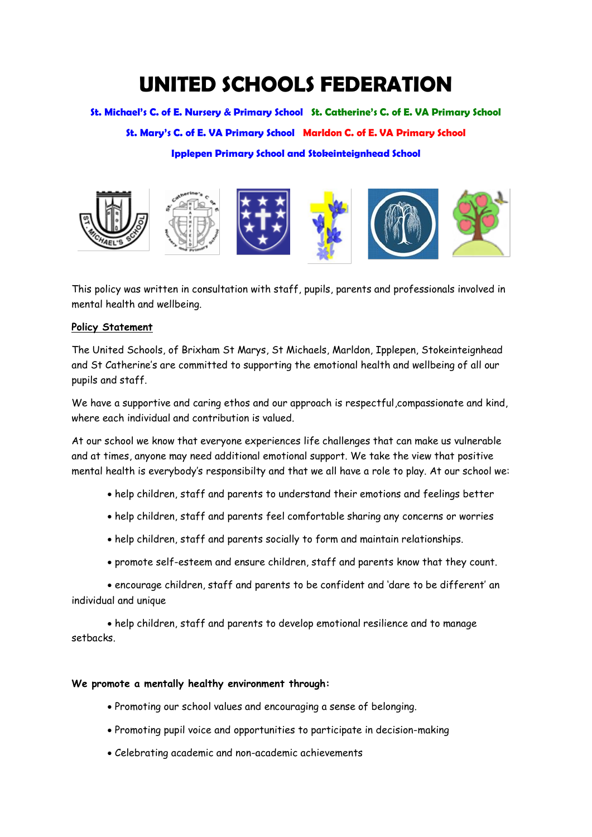# **UNITED SCHOOLS FEDERATION**

**St. Michael's C. of E. Nursery & Primary School St. Catherine's C. of E. VA Primary School**

**St. Mary's C. of E. VA Primary School Marldon C. of E. VA Primary School** 

# **Ipplepen Primary School and Stokeinteignhead School**



This policy was written in consultation with staff, pupils, parents and professionals involved in mental health and wellbeing.

## **Policy Statement**

The United Schools, of Brixham St Marys, St Michaels, Marldon, Ipplepen, Stokeinteignhead and St Catherine's are committed to supporting the emotional health and wellbeing of all our pupils and staff.

We have a supportive and caring ethos and our approach is respectful, compassionate and kind, where each individual and contribution is valued.

At our school we know that everyone experiences life challenges that can make us vulnerable and at times, anyone may need additional emotional support. We take the view that positive mental health is everybody's responsibilty and that we all have a role to play. At our school we:

- help children, staff and parents to understand their emotions and feelings better
- help children, staff and parents feel comfortable sharing any concerns or worries
- help children, staff and parents socially to form and maintain relationships.
- promote self-esteem and ensure children, staff and parents know that they count.

• encourage children, staff and parents to be confident and 'dare to be different' an individual and unique

• help children, staff and parents to develop emotional resilience and to manage setbacks.

#### **We promote a mentally healthy environment through:**

- Promoting our school values and encouraging a sense of belonging.
- Promoting pupil voice and opportunities to participate in decision-making
- Celebrating academic and non-academic achievements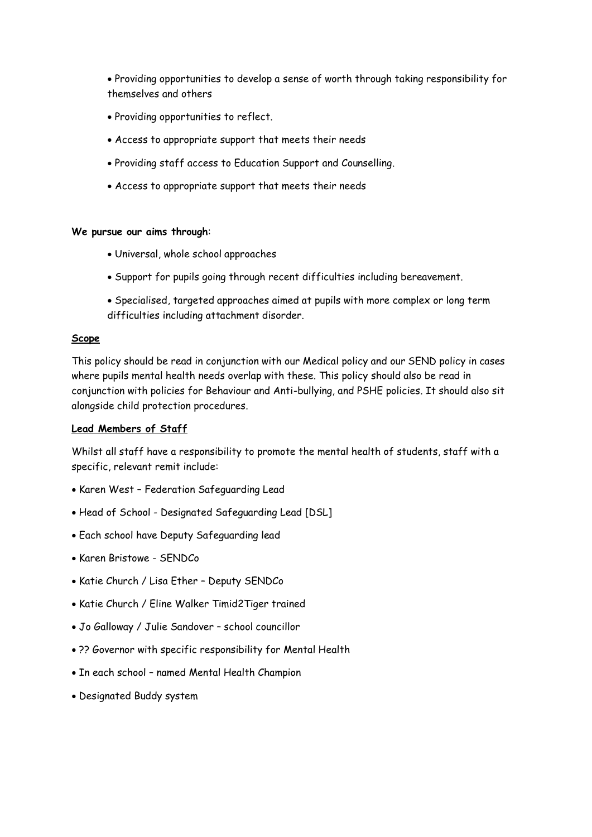• Providing opportunities to develop a sense of worth through taking responsibility for themselves and others

- Providing opportunities to reflect.
- Access to appropriate support that meets their needs
- Providing staff access to Education Support and Counselling.
- Access to appropriate support that meets their needs

#### **We pursue our aims through**:

- Universal, whole school approaches
- Support for pupils going through recent difficulties including bereavement.
- Specialised, targeted approaches aimed at pupils with more complex or long term difficulties including attachment disorder.

#### **Scope**

This policy should be read in conjunction with our Medical policy and our SEND policy in cases where pupils mental health needs overlap with these. This policy should also be read in conjunction with policies for Behaviour and Anti-bullying, and PSHE policies. It should also sit alongside child protection procedures.

## **Lead Members of Staff**

Whilst all staff have a responsibility to promote the mental health of students, staff with a specific, relevant remit include:

- Karen West Federation Safeguarding Lead
- Head of School Designated Safeguarding Lead [DSL]
- Each school have Deputy Safeguarding lead
- Karen Bristowe SENDCo
- Katie Church / Lisa Ether Deputy SENDCo
- Katie Church / Eline Walker Timid2Tiger trained
- Jo Galloway / Julie Sandover school councillor
- ?? Governor with specific responsibility for Mental Health
- In each school named Mental Health Champion
- Designated Buddy system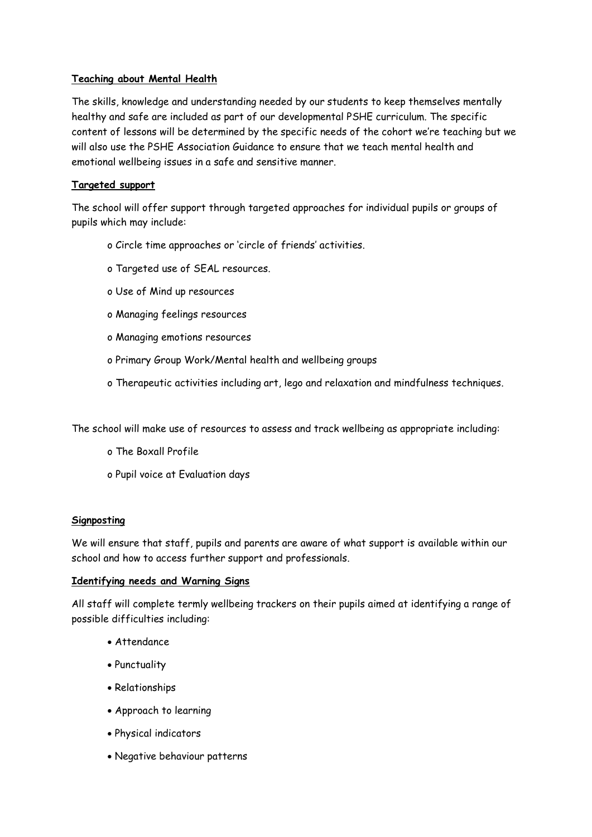# **Teaching about Mental Health**

The skills, knowledge and understanding needed by our students to keep themselves mentally healthy and safe are included as part of our developmental PSHE curriculum. The specific content of lessons will be determined by the specific needs of the cohort we're teaching but we will also use the PSHE Association Guidance to ensure that we teach mental health and emotional wellbeing issues in a safe and sensitive manner.

# **Targeted support**

The school will offer support through targeted approaches for individual pupils or groups of pupils which may include:

- o Circle time approaches or 'circle of friends' activities.
- o Targeted use of SEAL resources.
- o Use of Mind up resources
- o Managing feelings resources
- o Managing emotions resources
- o Primary Group Work/Mental health and wellbeing groups
- o Therapeutic activities including art, lego and relaxation and mindfulness techniques.

The school will make use of resources to assess and track wellbeing as appropriate including:

- o The Boxall Profile
- o Pupil voice at Evaluation days

# **Signposting**

We will ensure that staff, pupils and parents are aware of what support is available within our school and how to access further support and professionals.

# **Identifying needs and Warning Signs**

All staff will complete termly wellbeing trackers on their pupils aimed at identifying a range of possible difficulties including:

- Attendance
- Punctuality
- Relationships
- Approach to learning
- Physical indicators
- Negative behaviour patterns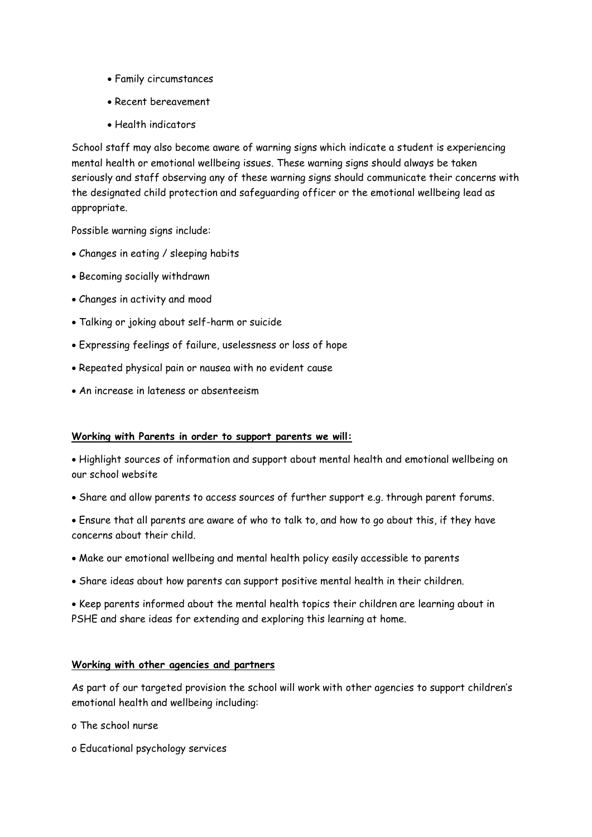- Family circumstances
- Recent bereavement
- Health indicators

School staff may also become aware of warning signs which indicate a student is experiencing mental health or emotional wellbeing issues. These warning signs should always be taken seriously and staff observing any of these warning signs should communicate their concerns with the designated child protection and safeguarding officer or the emotional wellbeing lead as appropriate.

Possible warning signs include:

- Changes in eating / sleeping habits
- Becoming socially withdrawn
- Changes in activity and mood
- Talking or joking about self-harm or suicide
- Expressing feelings of failure, uselessness or loss of hope
- Repeated physical pain or nausea with no evident cause
- An increase in lateness or absenteeism

#### **Working with Parents in order to support parents we will:**

• Highlight sources of information and support about mental health and emotional wellbeing on our school website

• Share and allow parents to access sources of further support e.g. through parent forums.

• Ensure that all parents are aware of who to talk to, and how to go about this, if they have concerns about their child.

- Make our emotional wellbeing and mental health policy easily accessible to parents
- Share ideas about how parents can support positive mental health in their children.

• Keep parents informed about the mental health topics their children are learning about in PSHE and share ideas for extending and exploring this learning at home.

#### **Working with other agencies and partners**

As part of our targeted provision the school will work with other agencies to support children's emotional health and wellbeing including:

- o The school nurse
- o Educational psychology services